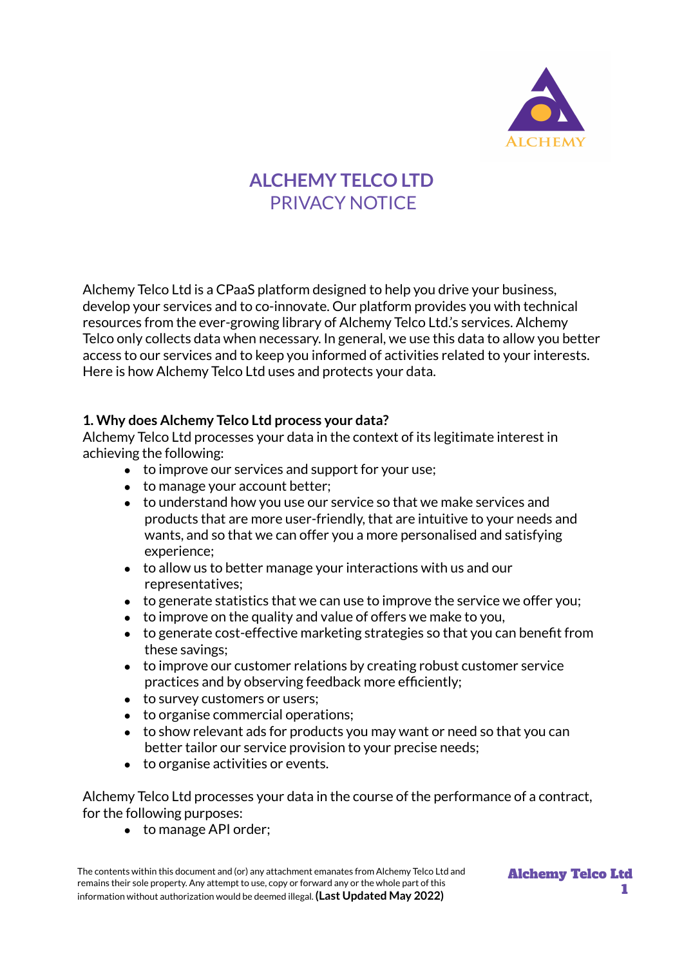

# **ALCHEMY TELCO LTD** PRIVACY NOTICE

Alchemy Telco Ltd is a CPaaS platform designed to help you drive your business, develop your services and to co-innovate. Our platform provides you with technical resources from the ever-growing library of Alchemy Telco Ltd.'s services. Alchemy Telco only collects data when necessary. In general, we use this data to allow you better access to our services and to keep you informed of activities related to your interests. Here is how Alchemy Telco Ltd uses and protects your data.

#### **1. Why does Alchemy Telco Ltd process your data?**

Alchemy Telco Ltd processes your data in the context of its legitimate interest in achieving the following:

- to improve our services and support for your use;
- to manage your account better;
- to understand how you use our service so that we make services and products that are more user-friendly, that are intuitive to your needs and wants, and so that we can offer you a more personalised and satisfying experience;
- to allow us to better manage your interactions with us and our representatives;
- to generate statistics that we can use to improve the service we offer you;
- $\bullet$  to improve on the quality and value of offers we make to you,
- to generate cost-effective marketing strategies so that you can benefit from these savings;
- to improve our customer relations by creating robust customer service practices and by observing feedback more efficiently;
- to survey customers or users;
- to organise commercial operations;
- to show relevant ads for products you may want or need so that you can better tailor our service provision to your precise needs;
- to organise activities or events.

Alchemy Telco Ltd processes your data in the course of the performance of a contract, for the following purposes:

● to manage API order;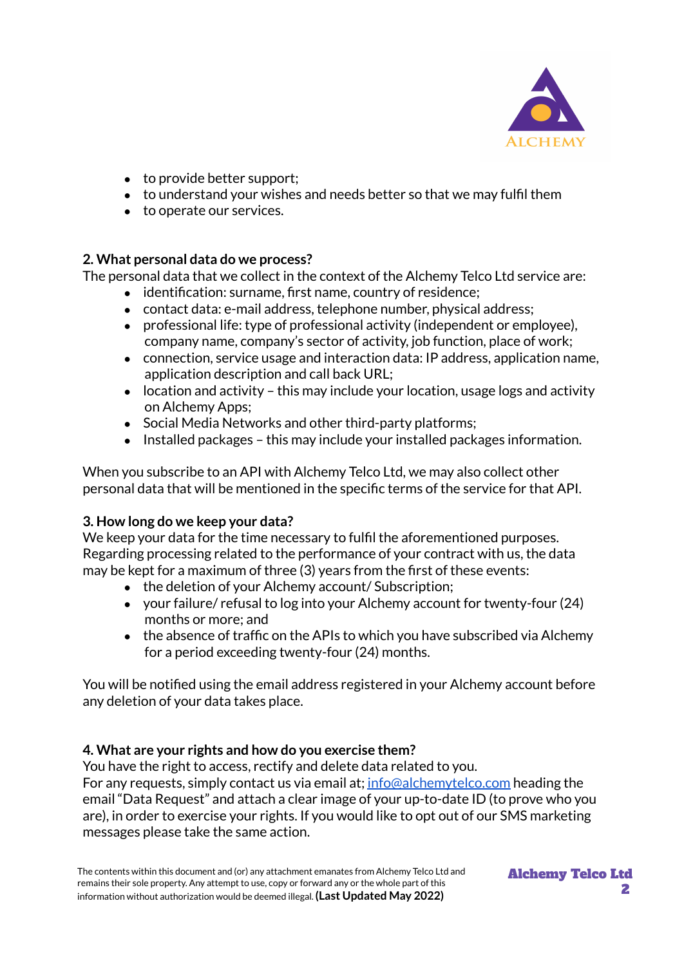

- $\bullet$  to provide better support;
- to understand your wishes and needs better so that we may fulfil them
- to operate our services.

## **2. What personal data do we process?**

The personal data that we collect in the context of the Alchemy Telco Ltd service are:

- identification: surname, first name, country of residence;
- contact data: e-mail address, telephone number, physical address;
- professional life: type of professional activity (independent or employee), company name, company's sector of activity, job function, place of work;
- connection, service usage and interaction data: IP address, application name, application description and call back URL;
- $\bullet$  location and activity this may include your location, usage logs and activity on Alchemy Apps;
- Social Media Networks and other third-party platforms;
- Installed packages this may include your installed packages information.

When you subscribe to an API with Alchemy Telco Ltd, we may also collect other personal data that will be mentioned in the specific terms of the service for that API.

## **3. How long do we keep your data?**

We keep your data for the time necessary to fulfil the aforementioned purposes. Regarding processing related to the performance of your contract with us, the data may be kept for a maximum of three (3) years from the first of these events:

- the deletion of your Alchemy account/ Subscription;
- your failure/ refusal to log into your Alchemy account for twenty-four (24) months or more; and
- $\bullet$  the absence of traffic on the APIs to which you have subscribed via Alchemy for a period exceeding twenty-four (24) months.

You will be notified using the email address registered in your Alchemy account before any deletion of your data takes place.

## **4. What are your rights and how do you exercise them?**

You have the right to access, rectify and delete data related to you. For any requests, simply contact us via email at; [info@alchemytelco.com](mailto:info@alchemytelco.com) heading the email "Data Request" and attach a clear image of your up-to-date ID (to prove who you are), in order to exercise your rights. If you would like to opt out of our SMS marketing messages please take the same action.

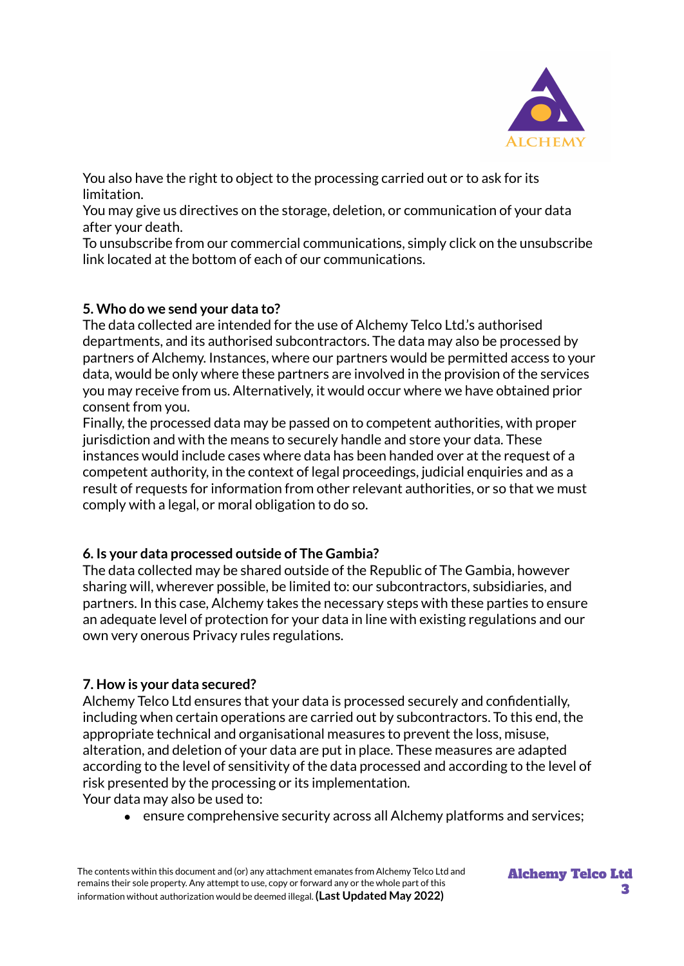

You also have the right to object to the processing carried out or to ask for its limitation.

You may give us directives on the storage, deletion, or communication of your data after your death.

To unsubscribe from our commercial communications, simply click on the unsubscribe link located at the bottom of each of our communications.

## **5. Who do we send your data to?**

The data collected are intended for the use of Alchemy Telco Ltd.'s authorised departments, and its authorised subcontractors. The data may also be processed by partners of Alchemy. Instances, where our partners would be permitted access to your data, would be only where these partners are involved in the provision of the services you may receive from us. Alternatively, it would occur where we have obtained prior consent from you.

Finally, the processed data may be passed on to competent authorities, with proper jurisdiction and with the means to securely handle and store your data. These instances would include cases where data has been handed over at the request of a competent authority, in the context of legal proceedings, judicial enquiries and as a result of requests for information from other relevant authorities, or so that we must comply with a legal, or moral obligation to do so.

## **6. Is your data processed outside of The Gambia?**

The data collected may be shared outside of the Republic of The Gambia, however sharing will, wherever possible, be limited to: our subcontractors, subsidiaries, and partners. In this case, Alchemy takes the necessary steps with these parties to ensure an adequate level of protection for your data in line with existing regulations and our own very onerous Privacy rules regulations.

## **7. How is your data secured?**

Alchemy Telco Ltd ensures that your data is processed securely and confidentially, including when certain operations are carried out by subcontractors. To this end, the appropriate technical and organisational measures to prevent the loss, misuse, alteration, and deletion of your data are put in place. These measures are adapted according to the level of sensitivity of the data processed and according to the level of risk presented by the processing or its implementation. Your data may also be used to:

• ensure comprehensive security across all Alchemy platforms and services;